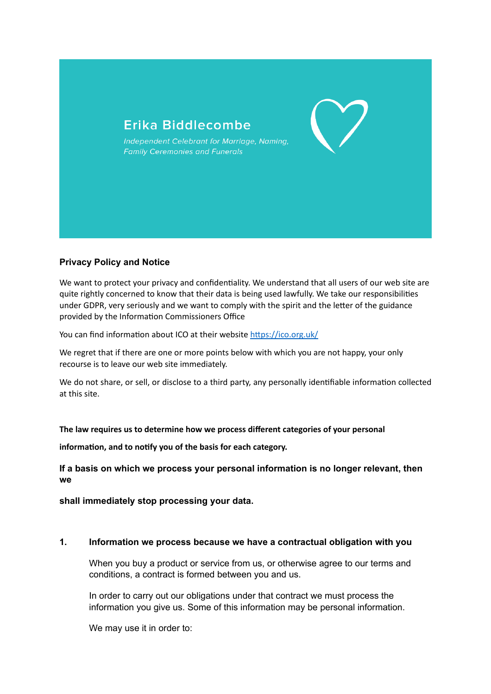

# **Privacy Policy and Notice**

We want to protect your privacy and confidentiality. We understand that all users of our web site are quite rightly concerned to know that their data is being used lawfully. We take our responsibilities under GDPR, very seriously and we want to comply with the spirit and the letter of the guidance provided by the Information Commissioners Office

You can find information about ICO at their website<https://ico.org.uk/>

We regret that if there are one or more points below with which you are not happy, your only recourse is to leave our web site immediately.

We do not share, or sell, or disclose to a third party, any personally identifiable information collected at this site.

# **The law requires us to determine how we process different categories of your personal**

**information, and to notify you of the basis for each category.**

**If a basis on which we process your personal information is no longer relevant, then we**

**shall immediately stop processing your data.**

### **1. Information we process because we have a contractual obligation with you**

When you buy a product or service from us, or otherwise agree to our terms and conditions, a contract is formed between you and us.

In order to carry out our obligations under that contract we must process the information you give us. Some of this information may be personal information.

We may use it in order to: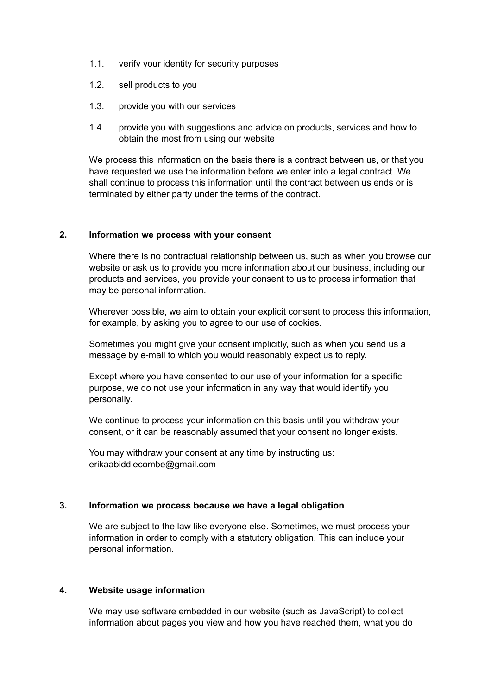- 1.1. verify your identity for security purposes
- 1.2. sell products to you
- 1.3. provide you with our services
- 1.4. provide you with suggestions and advice on products, services and how to obtain the most from using our website

We process this information on the basis there is a contract between us, or that you have requested we use the information before we enter into a legal contract. We shall continue to process this information until the contract between us ends or is terminated by either party under the terms of the contract.

## **2. Information we process with your consent**

Where there is no contractual relationship between us, such as when you browse our website or ask us to provide you more information about our business, including our products and services, you provide your consent to us to process information that may be personal information.

Wherever possible, we aim to obtain your explicit consent to process this information, for example, by asking you to agree to our use of cookies.

Sometimes you might give your consent implicitly, such as when you send us a message by e-mail to which you would reasonably expect us to reply.

Except where you have consented to our use of your information for a specific purpose, we do not use your information in any way that would identify you personally.

We continue to process your information on this basis until you withdraw your consent, or it can be reasonably assumed that your consent no longer exists.

You may withdraw your consent at any time by instructing us: erikaabiddlecombe@gmail.com

# **3. Information we process because we have a legal obligation**

We are subject to the law like everyone else. Sometimes, we must process your information in order to comply with a statutory obligation. This can include your personal information.

### **4. Website usage information**

We may use software embedded in our website (such as JavaScript) to collect information about pages you view and how you have reached them, what you do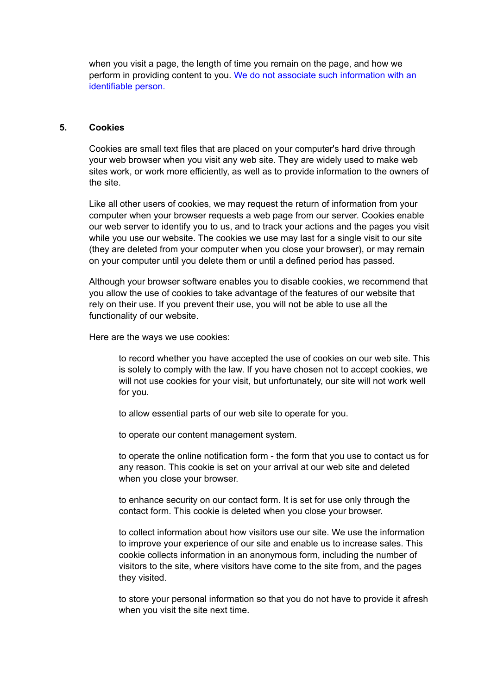when you visit a page, the length of time you remain on the page, and how we perform in providing content to you. We do not associate such information with an identifiable person.

### **5. Cookies**

Cookies are small text files that are placed on your computer's hard drive through your web browser when you visit any web site. They are widely used to make web sites work, or work more efficiently, as well as to provide information to the owners of the site.

Like all other users of cookies, we may request the return of information from your computer when your browser requests a web page from our server. Cookies enable our web server to identify you to us, and to track your actions and the pages you visit while you use our website. The cookies we use may last for a single visit to our site (they are deleted from your computer when you close your browser), or may remain on your computer until you delete them or until a defined period has passed.

Although your browser software enables you to disable cookies, we recommend that you allow the use of cookies to take advantage of the features of our website that rely on their use. If you prevent their use, you will not be able to use all the functionality of our website.

Here are the ways we use cookies:

to record whether you have accepted the use of cookies on our web site. This is solely to comply with the law. If you have chosen not to accept cookies, we will not use cookies for your visit, but unfortunately, our site will not work well for you.

to allow essential parts of our web site to operate for you.

to operate our content management system.

to operate the online notification form - the form that you use to contact us for any reason. This cookie is set on your arrival at our web site and deleted when you close your browser.

to enhance security on our contact form. It is set for use only through the contact form. This cookie is deleted when you close your browser.

to collect information about how visitors use our site. We use the information to improve your experience of our site and enable us to increase sales. This cookie collects information in an anonymous form, including the number of visitors to the site, where visitors have come to the site from, and the pages they visited.

to store your personal information so that you do not have to provide it afresh when you visit the site next time.